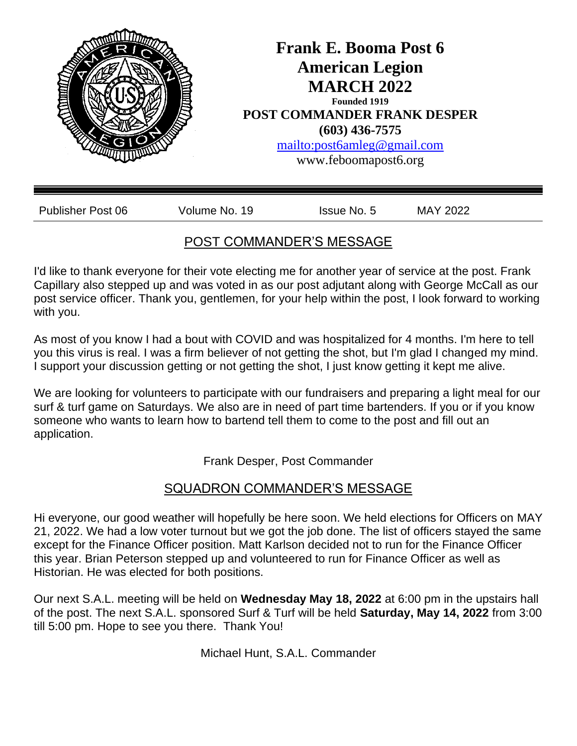

# POST COMMANDER'S MESSAGE

I'd like to thank everyone for their vote electing me for another year of service at the post. Frank Capillary also stepped up and was voted in as our post adjutant along with George McCall as our post service officer. Thank you, gentlemen, for your help within the post, I look forward to working with you.

As most of you know I had a bout with COVID and was hospitalized for 4 months. I'm here to tell you this virus is real. I was a firm believer of not getting the shot, but I'm glad I changed my mind. I support your discussion getting or not getting the shot, I just know getting it kept me alive.

We are looking for volunteers to participate with our fundraisers and preparing a light meal for our surf & turf game on Saturdays. We also are in need of part time bartenders. If you or if you know someone who wants to learn how to bartend tell them to come to the post and fill out an application.

Frank Desper, Post Commander

# SQUADRON COMMANDER'S MESSAGE

Hi everyone, our good weather will hopefully be here soon. We held elections for Officers on MAY 21, 2022. We had a low voter turnout but we got the job done. The list of officers stayed the same except for the Finance Officer position. Matt Karlson decided not to run for the Finance Officer this year. Brian Peterson stepped up and volunteered to run for Finance Officer as well as Historian. He was elected for both positions.

Our next S.A.L. meeting will be held on **Wednesday May 18, 2022** at 6:00 pm in the upstairs hall of the post. The next S.A.L. sponsored Surf & Turf will be held **Saturday, May 14, 2022** from 3:00 till 5:00 pm. Hope to see you there. Thank You!

Michael Hunt, S.A.L. Commander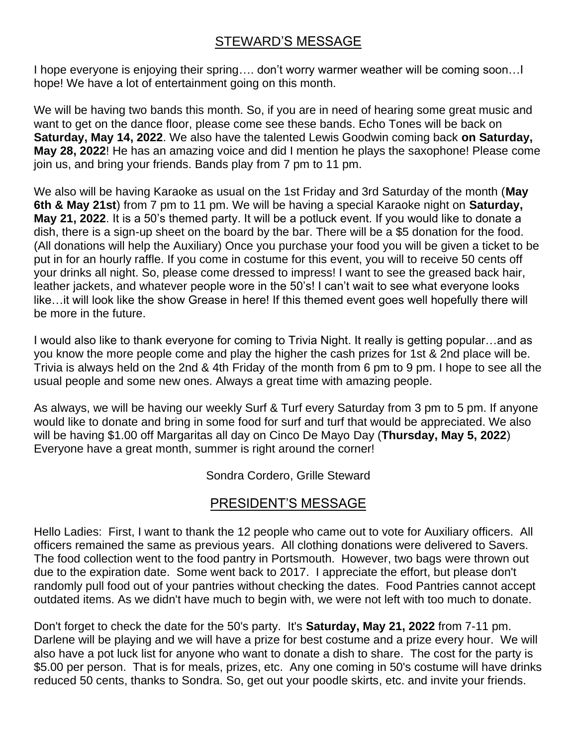# STEWARD'S MESSAGE

I hope everyone is enjoying their spring…. don't worry warmer weather will be coming soon…I hope! We have a lot of entertainment going on this month.

We will be having two bands this month. So, if you are in need of hearing some great music and want to get on the dance floor, please come see these bands. Echo Tones will be back on **Saturday, May 14, 2022**. We also have the talented Lewis Goodwin coming back **on Saturday, May 28, 2022**! He has an amazing voice and did I mention he plays the saxophone! Please come join us, and bring your friends. Bands play from 7 pm to 11 pm.

We also will be having Karaoke as usual on the 1st Friday and 3rd Saturday of the month (**May 6th & May 21st**) from 7 pm to 11 pm. We will be having a special Karaoke night on **Saturday, May 21, 2022**. It is a 50's themed party. It will be a potluck event. If you would like to donate a dish, there is a sign-up sheet on the board by the bar. There will be a \$5 donation for the food. (All donations will help the Auxiliary) Once you purchase your food you will be given a ticket to be put in for an hourly raffle. If you come in costume for this event, you will to receive 50 cents off your drinks all night. So, please come dressed to impress! I want to see the greased back hair, leather jackets, and whatever people wore in the 50's! I can't wait to see what everyone looks like…it will look like the show Grease in here! If this themed event goes well hopefully there will be more in the future.

I would also like to thank everyone for coming to Trivia Night. It really is getting popular…and as you know the more people come and play the higher the cash prizes for 1st & 2nd place will be. Trivia is always held on the 2nd & 4th Friday of the month from 6 pm to 9 pm. I hope to see all the usual people and some new ones. Always a great time with amazing people.

As always, we will be having our weekly Surf & Turf every Saturday from 3 pm to 5 pm. If anyone would like to donate and bring in some food for surf and turf that would be appreciated. We also will be having \$1.00 off Margaritas all day on Cinco De Mayo Day (**Thursday, May 5, 2022**) Everyone have a great month, summer is right around the corner!

Sondra Cordero, Grille Steward

# PRESIDENT'S MESSAGE

Hello Ladies: First, I want to thank the 12 people who came out to vote for Auxiliary officers. All officers remained the same as previous years. All clothing donations were delivered to Savers. The food collection went to the food pantry in Portsmouth. However, two bags were thrown out due to the expiration date. Some went back to 2017. I appreciate the effort, but please don't randomly pull food out of your pantries without checking the dates. Food Pantries cannot accept outdated items. As we didn't have much to begin with, we were not left with too much to donate.

Don't forget to check the date for the 50's party. It's **Saturday, May 21, 2022** from 7-11 pm. Darlene will be playing and we will have a prize for best costume and a prize every hour. We will also have a pot luck list for anyone who want to donate a dish to share. The cost for the party is \$5.00 per person. That is for meals, prizes, etc. Any one coming in 50's costume will have drinks reduced 50 cents, thanks to Sondra. So, get out your poodle skirts, etc. and invite your friends.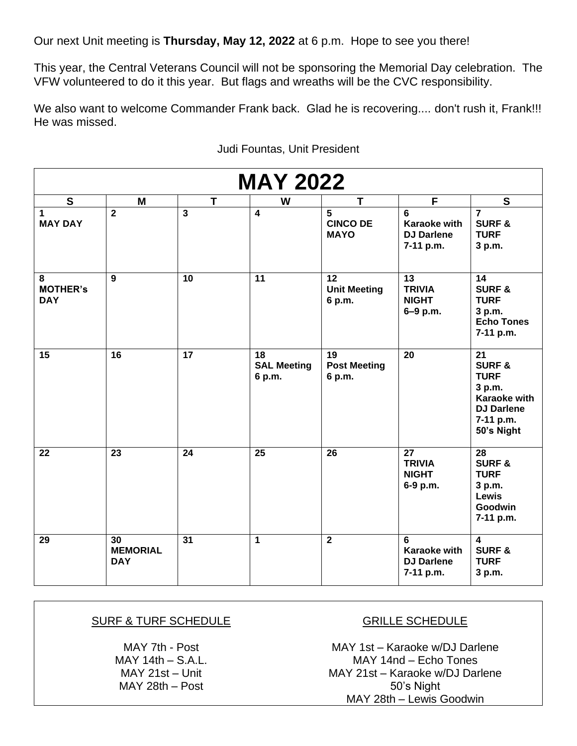Our next Unit meeting is **Thursday, May 12, 2022** at 6 p.m. Hope to see you there!

This year, the Central Veterans Council will not be sponsoring the Memorial Day celebration. The VFW volunteered to do it this year. But flags and wreaths will be the CVC responsibility.

We also want to welcome Commander Frank back. Glad he is recovering.... don't rush it, Frank!!! He was missed.

| <b>MAY 2022</b>                    |                                     |                         |                                    |                                     |                                                              |                                                                                                                                      |
|------------------------------------|-------------------------------------|-------------------------|------------------------------------|-------------------------------------|--------------------------------------------------------------|--------------------------------------------------------------------------------------------------------------------------------------|
| $\mathbf{s}$                       | M                                   | $\overline{\mathsf{T}}$ | W                                  | T                                   | F                                                            | $\mathbf{s}$                                                                                                                         |
| 1<br><b>MAY DAY</b>                | $\overline{2}$                      | $\overline{\mathbf{3}}$ | $\overline{\mathbf{4}}$            | 5<br><b>CINCO DE</b><br><b>MAYO</b> | 6<br><b>Karaoke with</b><br><b>DJ Darlene</b><br>7-11 p.m.   | $\overline{7}$<br><b>SURF &amp;</b><br><b>TURF</b><br>3 p.m.                                                                         |
| 8<br><b>MOTHER's</b><br><b>DAY</b> | 9                                   | 10                      | 11                                 | 12<br><b>Unit Meeting</b><br>6 p.m. | 13<br><b>TRIVIA</b><br><b>NIGHT</b><br>6-9 p.m.              | 14<br><b>SURF &amp;</b><br><b>TURF</b><br>3 p.m.<br><b>Echo Tones</b><br>7-11 p.m.                                                   |
| 15                                 | 16                                  | $\overline{17}$         | 18<br><b>SAL Meeting</b><br>6 p.m. | 19<br><b>Post Meeting</b><br>6 p.m. | 20                                                           | $\overline{21}$<br><b>SURF &amp;</b><br><b>TURF</b><br>3 p.m.<br><b>Karaoke with</b><br><b>DJ Darlene</b><br>7-11 p.m.<br>50's Night |
| 22                                 | 23                                  | 24                      | $\overline{25}$                    | 26                                  | $\overline{27}$<br><b>TRIVIA</b><br><b>NIGHT</b><br>6-9 p.m. | $\overline{28}$<br><b>SURF &amp;</b><br><b>TURF</b><br>3 p.m.<br><b>Lewis</b><br>Goodwin<br>7-11 p.m.                                |
| 29                                 | 30<br><b>MEMORIAL</b><br><b>DAY</b> | 31                      | $\mathbf{1}$                       | $\overline{2}$                      | 6<br><b>Karaoke with</b><br><b>DJ Darlene</b><br>7-11 p.m.   | $\overline{\mathbf{4}}$<br><b>SURF &amp;</b><br><b>TURF</b><br>3 p.m.                                                                |

Judi Fountas, Unit President

### SURF & TURF SCHEDULE

MAY 7th - Post  $MAY$  14th  $-$  S.A.L. MAY 21st – Unit MAY 28th – Post

### GRILLE SCHEDULE

MAY 1st – Karaoke w/DJ Darlene MAY 14nd – Echo Tones MAY 21st – Karaoke w/DJ Darlene 50's Night MAY 28th – Lewis Goodwin